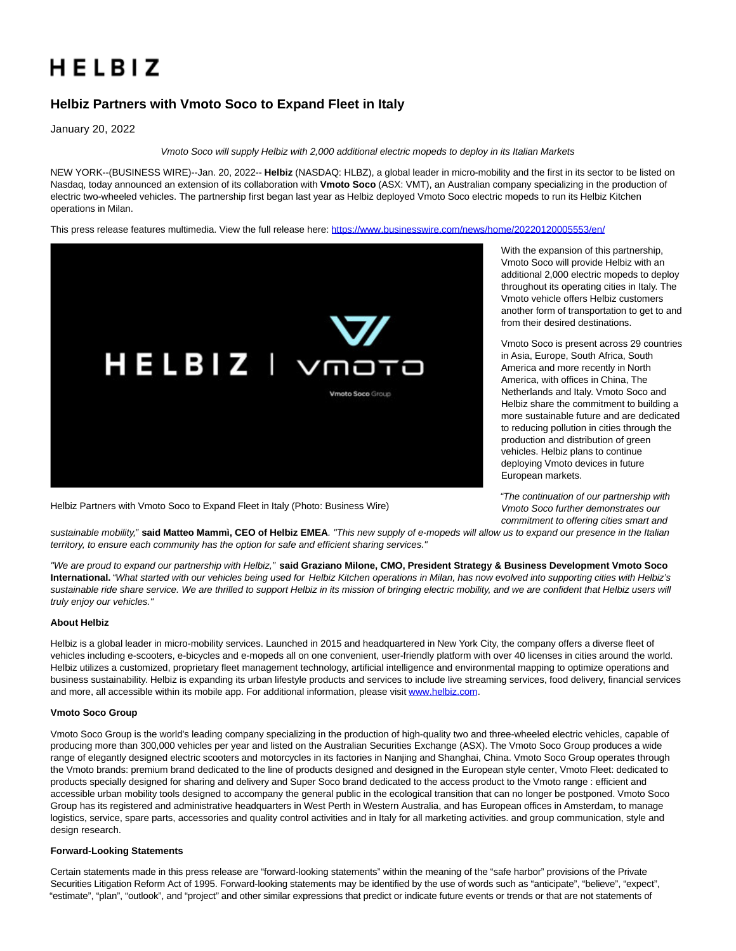# HELBIZ

## **Helbiz Partners with Vmoto Soco to Expand Fleet in Italy**

January 20, 2022

Vmoto Soco will supply Helbiz with 2,000 additional electric mopeds to deploy in its Italian Markets

NEW YORK--(BUSINESS WIRE)--Jan. 20, 2022-- **Helbiz** (NASDAQ: HLBZ), a global leader in micro-mobility and the first in its sector to be listed on Nasdaq, today announced an extension of its collaboration with **Vmoto Soco** (ASX: VMT), an Australian company specializing in the production of electric two-wheeled vehicles. The partnership first began last year as Helbiz deployed Vmoto Soco electric mopeds to run its Helbiz Kitchen operations in Milan.

This press release features multimedia. View the full release here:<https://www.businesswire.com/news/home/20220120005553/en/>



Helbiz Partners with Vmoto Soco to Expand Fleet in Italy (Photo: Business Wire)

With the expansion of this partnership, Vmoto Soco will provide Helbiz with an additional 2,000 electric mopeds to deploy throughout its operating cities in Italy. The Vmoto vehicle offers Helbiz customers another form of transportation to get to and from their desired destinations.

Vmoto Soco is present across 29 countries in Asia, Europe, South Africa, South America and more recently in North America, with offices in China, The Netherlands and Italy. Vmoto Soco and Helbiz share the commitment to building a more sustainable future and are dedicated to reducing pollution in cities through the production and distribution of green vehicles. Helbiz plans to continue deploying Vmoto devices in future European markets.

"The continuation of our partnership with Vmoto Soco further demonstrates our commitment to offering cities smart and

sustainable mobility," **said Matteo Mammì, CEO of Helbiz EMEA**. "This new supply of e-mopeds will allow us to expand our presence in the Italian territory, to ensure each community has the option for safe and efficient sharing services."

"We are proud to expand our partnership with Helbiz," **said Graziano Milone, CMO, President Strategy & Business Development Vmoto Soco International.** "What started with our vehicles being used for Helbiz Kitchen operations in Milan, has now evolved into supporting cities with Helbiz's sustainable ride share service. We are thrilled to support Helbiz in its mission of bringing electric mobility, and we are confident that Helbiz users will truly enjoy our vehicles."

### **About Helbiz**

Helbiz is a global leader in micro-mobility services. Launched in 2015 and headquartered in New York City, the company offers a diverse fleet of vehicles including e-scooters, e-bicycles and e-mopeds all on one convenient, user-friendly platform with over 40 licenses in cities around the world. Helbiz utilizes a customized, proprietary fleet management technology, artificial intelligence and environmental mapping to optimize operations and business sustainability. Helbiz is expanding its urban lifestyle products and services to include live streaming services, food delivery, financial services and more, all accessible within its mobile app. For additional information, please visi[t www.helbiz.com.](https://cts.businesswire.com/ct/CT?id=smartlink&url=http%3A%2F%2Fwww.helbiz.com&esheet=52565853&newsitemid=20220120005553&lan=en-US&anchor=www.helbiz.com&index=1&md5=c1c4bf9269be351cf59f9305592d52bf)

### **Vmoto Soco Group**

Vmoto Soco Group is the world's leading company specializing in the production of high-quality two and three-wheeled electric vehicles, capable of producing more than 300,000 vehicles per year and listed on the Australian Securities Exchange (ASX). The Vmoto Soco Group produces a wide range of elegantly designed electric scooters and motorcycles in its factories in Nanjing and Shanghai, China. Vmoto Soco Group operates through the Vmoto brands: premium brand dedicated to the line of products designed and designed in the European style center, Vmoto Fleet: dedicated to products specially designed for sharing and delivery and Super Soco brand dedicated to the access product to the Vmoto range : efficient and accessible urban mobility tools designed to accompany the general public in the ecological transition that can no longer be postponed. Vmoto Soco Group has its registered and administrative headquarters in West Perth in Western Australia, and has European offices in Amsterdam, to manage logistics, service, spare parts, accessories and quality control activities and in Italy for all marketing activities. and group communication, style and design research.

### **Forward-Looking Statements**

Certain statements made in this press release are "forward-looking statements" within the meaning of the "safe harbor" provisions of the Private Securities Litigation Reform Act of 1995. Forward-looking statements may be identified by the use of words such as "anticipate", "believe", "expect", "estimate", "plan", "outlook", and "project" and other similar expressions that predict or indicate future events or trends or that are not statements of